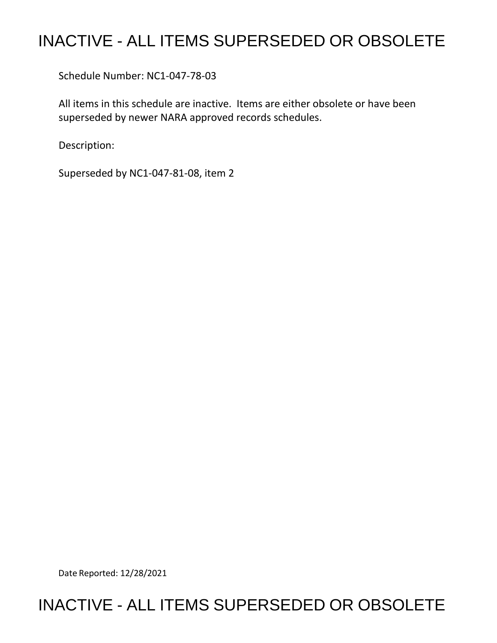## INACTIVE - ALL ITEMS SUPERSEDED OR OBSOLETE

Schedule Number: NC1-047-78-03

 All items in this schedule are inactive. Items are either obsolete or have been superseded by newer NARA approved records schedules.

Description:

Superseded by NC1-047-81-08, item 2

Date Reported: 12/28/2021

## INACTIVE - ALL ITEMS SUPERSEDED OR OBSOLETE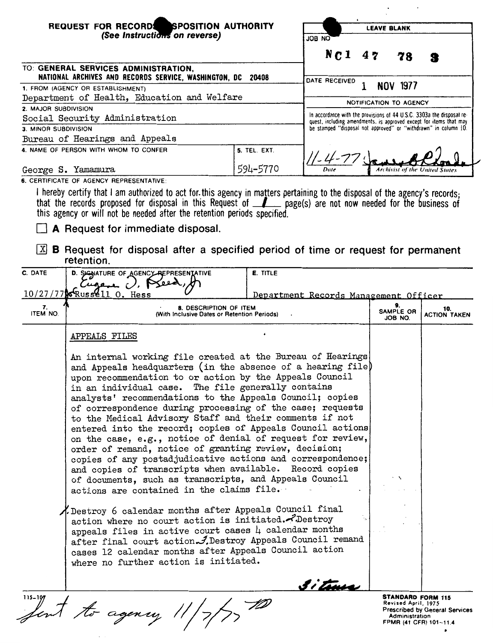| REQUEST FOR RECORDS SPOSITION AUTHORITY<br>(See Instructions on reverse)<br>ON 80L                                                                                                                                                                                                                                                                                                                                                                                                                                                                                                                                                                                                                                                                                                                                                                                                                                                                                                                                                                                                               |                 | <b>LEAVE BLANK</b>                                                                                                                          |                                                 |                                       |
|--------------------------------------------------------------------------------------------------------------------------------------------------------------------------------------------------------------------------------------------------------------------------------------------------------------------------------------------------------------------------------------------------------------------------------------------------------------------------------------------------------------------------------------------------------------------------------------------------------------------------------------------------------------------------------------------------------------------------------------------------------------------------------------------------------------------------------------------------------------------------------------------------------------------------------------------------------------------------------------------------------------------------------------------------------------------------------------------------|-----------------|---------------------------------------------------------------------------------------------------------------------------------------------|-------------------------------------------------|---------------------------------------|
|                                                                                                                                                                                                                                                                                                                                                                                                                                                                                                                                                                                                                                                                                                                                                                                                                                                                                                                                                                                                                                                                                                  |                 |                                                                                                                                             |                                                 |                                       |
|                                                                                                                                                                                                                                                                                                                                                                                                                                                                                                                                                                                                                                                                                                                                                                                                                                                                                                                                                                                                                                                                                                  |                 | $Nc1$ 47                                                                                                                                    | 78                                              |                                       |
| TO: GENERAL SERVICES ADMINISTRATION,<br>NATIONAL ARCHIVES AND RECORDS SERVICE, WASHINGTON, DC 20408                                                                                                                                                                                                                                                                                                                                                                                                                                                                                                                                                                                                                                                                                                                                                                                                                                                                                                                                                                                              |                 | DATE RECEIVED                                                                                                                               |                                                 |                                       |
| 1. FROM (AGENCY OR ESTABLISHMENT)                                                                                                                                                                                                                                                                                                                                                                                                                                                                                                                                                                                                                                                                                                                                                                                                                                                                                                                                                                                                                                                                |                 |                                                                                                                                             | <b>NOV 1977</b>                                 |                                       |
| Department of Health, Education and Welfare<br>2. MAJOR SUBDIVISION                                                                                                                                                                                                                                                                                                                                                                                                                                                                                                                                                                                                                                                                                                                                                                                                                                                                                                                                                                                                                              |                 | NOTIFICATION TO AGENCY                                                                                                                      |                                                 |                                       |
| Social Security Administration                                                                                                                                                                                                                                                                                                                                                                                                                                                                                                                                                                                                                                                                                                                                                                                                                                                                                                                                                                                                                                                                   |                 | In accordance with the provisions of 44 U.S.C. 3303a the disposal re-<br>quest, including amendments, is approved except for items that may |                                                 |                                       |
| 3. MINOR SUBDIVISION                                                                                                                                                                                                                                                                                                                                                                                                                                                                                                                                                                                                                                                                                                                                                                                                                                                                                                                                                                                                                                                                             |                 | be stamped "disposal not approved" or "withdrawn" in column 10.                                                                             |                                                 |                                       |
| Bureau of Hearings and Appeals                                                                                                                                                                                                                                                                                                                                                                                                                                                                                                                                                                                                                                                                                                                                                                                                                                                                                                                                                                                                                                                                   |                 |                                                                                                                                             |                                                 |                                       |
| 4. NAME OF PERSON WITH WHOM TO CONFER                                                                                                                                                                                                                                                                                                                                                                                                                                                                                                                                                                                                                                                                                                                                                                                                                                                                                                                                                                                                                                                            | 5. TEL. EXT.    |                                                                                                                                             |                                                 |                                       |
| George S. Yamamura                                                                                                                                                                                                                                                                                                                                                                                                                                                                                                                                                                                                                                                                                                                                                                                                                                                                                                                                                                                                                                                                               | 594-5770        | Date                                                                                                                                        | Archivist of the United States                  |                                       |
| 6. CERTIFICATE OF AGENCY REPRESENTATIVE:                                                                                                                                                                                                                                                                                                                                                                                                                                                                                                                                                                                                                                                                                                                                                                                                                                                                                                                                                                                                                                                         |                 |                                                                                                                                             |                                                 |                                       |
| I hereby certify that I am authorized to act for this agency in matters pertaining to the disposal of the agency's records;<br>that the records proposed for disposal in this Request of $\Box$ page(s) are not now needed for the business of<br>this agency or will not be needed after the retention periods specified.<br>A Request for immediate disposal.                                                                                                                                                                                                                                                                                                                                                                                                                                                                                                                                                                                                                                                                                                                                  |                 |                                                                                                                                             |                                                 |                                       |
| $\boxed{\mathbb{X}}$ <b>B</b> Request for disposal after a specified period of time or request for permanent<br>retention.                                                                                                                                                                                                                                                                                                                                                                                                                                                                                                                                                                                                                                                                                                                                                                                                                                                                                                                                                                       |                 |                                                                                                                                             |                                                 |                                       |
| C. DATE<br>D. SIGNATURE OF AGENCY REPRESENTATIVE                                                                                                                                                                                                                                                                                                                                                                                                                                                                                                                                                                                                                                                                                                                                                                                                                                                                                                                                                                                                                                                 | <b>E. TITLE</b> |                                                                                                                                             |                                                 |                                       |
| U, P<br>ـدے مید)                                                                                                                                                                                                                                                                                                                                                                                                                                                                                                                                                                                                                                                                                                                                                                                                                                                                                                                                                                                                                                                                                 |                 |                                                                                                                                             |                                                 |                                       |
| $10/27/77$ w Russ $611$ O. Hess                                                                                                                                                                                                                                                                                                                                                                                                                                                                                                                                                                                                                                                                                                                                                                                                                                                                                                                                                                                                                                                                  |                 | Department Records Management Officer                                                                                                       |                                                 |                                       |
| 7.<br>8. DESCRIPTION OF ITEM<br>ITEM NO.<br>(With Inclusive Dates or Retention Periods)                                                                                                                                                                                                                                                                                                                                                                                                                                                                                                                                                                                                                                                                                                                                                                                                                                                                                                                                                                                                          |                 |                                                                                                                                             | SAMPLE OR<br>JOB NO.                            | 10.<br><b>ACTION TAKEN</b>            |
| APPEALS FILES                                                                                                                                                                                                                                                                                                                                                                                                                                                                                                                                                                                                                                                                                                                                                                                                                                                                                                                                                                                                                                                                                    |                 |                                                                                                                                             |                                                 |                                       |
| An internal working file created at the Bureau of Hearings<br>and Appeals headquarters (in the absence of a hearing file)<br>upon recommendation to or action by the Appeals Council<br>in an individual case. The file generally contains<br>analysts' recommendations to the Appeals Council; copies<br>of correspondence during processing of the case; requests<br>to the Medical Advisory Staff and their comments if not<br>entered into the record; copies of Appeals Council actions<br>on the case, e.g., notice of denial of request for review,<br>order of remand, notice of granting review, decision;<br>copies of any postadjudicative actions and correspondence;<br>and copies of transcripts when available. Record copies<br>of documents, such as transcripts, and Appeals Council<br>actions are contained in the claims file.<br>A Destroy 6 calendar months after Appeals Council final<br>action where no court action is initiated. Destroy<br>appeals files in active court cases $\mu$ calendar months<br>after final court action. J. Destroy Appeals Council remand |                 |                                                                                                                                             |                                                 |                                       |
| cases 12 calendar months after Appeals Council action<br>where no further action is initiated.                                                                                                                                                                                                                                                                                                                                                                                                                                                                                                                                                                                                                                                                                                                                                                                                                                                                                                                                                                                                   |                 | 3i tuus                                                                                                                                     | <b>STANDARD FORM 115</b><br>Revised April, 1975 | <b>Prescribed by General Services</b> |
| fent to agency 11,                                                                                                                                                                                                                                                                                                                                                                                                                                                                                                                                                                                                                                                                                                                                                                                                                                                                                                                                                                                                                                                                               |                 |                                                                                                                                             | Administration<br>FPMR (41 CFR) 101-11.4        |                                       |

 $\sim$ 

Administration FPMR (41 CFR) 101-11.4